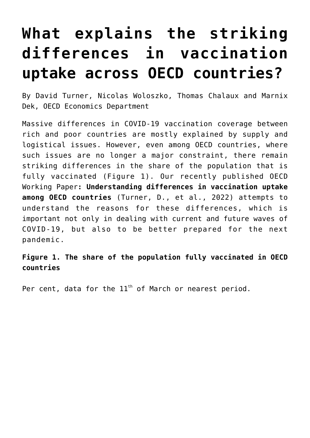## **[What explains the striking](https://oecdecoscope.blog/2022/04/12/what-explains-the-striking-differences-in-vaccination-uptake-across-oecd-countries/) [differences in vaccination](https://oecdecoscope.blog/2022/04/12/what-explains-the-striking-differences-in-vaccination-uptake-across-oecd-countries/) [uptake across OECD countries?](https://oecdecoscope.blog/2022/04/12/what-explains-the-striking-differences-in-vaccination-uptake-across-oecd-countries/)**

By David Turner, Nicolas Woloszko, Thomas Chalaux and Marnix Dek, OECD Economics Department

Massive differences in COVID-19 vaccination coverage between rich and poor countries are mostly explained by supply and logistical issues. However, even among OECD countries, where such issues are no longer a major constraint, there remain striking differences in the share of the population that is fully vaccinated (Figure 1). Our recently published OECD Working Paper**: [Understanding differences in vaccination uptake](https://www.oecd-ilibrary.org/economics/understanding-differences-in-vaccination-uptake-among-oecd-countries_76482043-en) [among OECD countries](https://www.oecd-ilibrary.org/economics/understanding-differences-in-vaccination-uptake-among-oecd-countries_76482043-en)** (Turner, D., et al., 2022) attempts to understand the reasons for these differences, which is important not only in dealing with current and future waves of COVID-19, but also to be better prepared for the next pandemic.

## **Figure 1. The share of the population fully vaccinated in OECD countries**

Per cent, data for the  $11<sup>th</sup>$  of March or nearest period.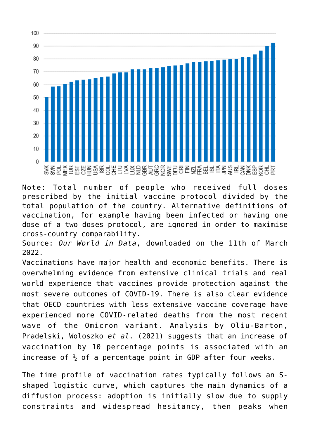

Note: Total number of people who received full doses prescribed by the initial vaccine protocol divided by the total population of the country. Alternative definitions of vaccination, for example having been infected or having one dose of a two doses protocol, are ignored in order to maximise cross-country comparability.

Source: *Our World in Data*, downloaded on the 11th of March 2022.

Vaccinations have major health and economic benefits. There is overwhelming evidence from extensive clinical trials and real world experience that vaccines provide protection against the most severe outcomes of COVID-19. There is also clear evidence that OECD countries with less extensive vaccine coverage have experienced more COVID-related deaths from the most recent wave of the Omicron variant. Analysis by Oliu-Barton, Pradelski, Woloszko *et al*. (2021) suggests that an increase of vaccination by 10 percentage points is associated with an increase of  $\frac{1}{2}$  of a percentage point in GDP after four weeks.

The time profile of vaccination rates typically follows an Sshaped logistic curve, which captures the main dynamics of a diffusion process: adoption is initially slow due to supply constraints and widespread hesitancy, then peaks when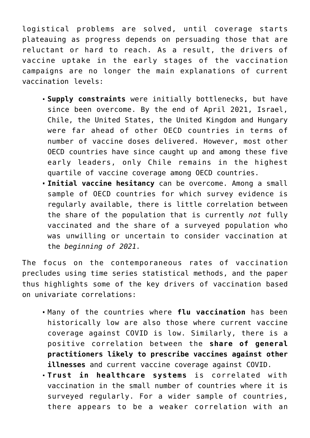logistical problems are solved, until coverage starts plateauing as progress depends on persuading those that are reluctant or hard to reach. As a result, the drivers of vaccine uptake in the early stages of the vaccination campaigns are no longer the main explanations of current vaccination levels:

- **Supply constraints** were initially bottlenecks, but have since been overcome. By the end of April 2021, Israel, Chile, the United States, the United Kingdom and Hungary were far ahead of other OECD countries in terms of number of vaccine doses delivered. However, most other OECD countries have since caught up and among these five early leaders, only Chile remains in the highest quartile of vaccine coverage among OECD countries.
- **Initial vaccine hesitancy** can be overcome. Among a small sample of OECD countries for which survey evidence is regularly available, there is little correlation between the share of the population that is currently *not* fully vaccinated and the share of a surveyed population who was unwilling or uncertain to consider vaccination at the *beginning of 2021.*

The focus on the contemporaneous rates of vaccination precludes using time series statistical methods, and the paper thus highlights some of the key drivers of vaccination based on univariate correlations:

- Many of the countries where **flu vaccination** has been historically low are also those where current vaccine coverage against COVID is low. Similarly, there is a positive correlation between the **share of general practitioners likely to prescribe vaccines against other illnesses** and current vaccine coverage against COVID.
- **Trust in healthcare systems** is correlated with vaccination in the small number of countries where it is surveyed regularly. For a wider sample of countries, there appears to be a weaker correlation with an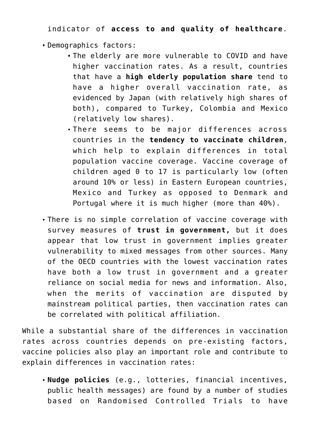indicator of **access to and quality of healthcare**.

Demographics factors:

- The elderly are more vulnerable to COVID and have higher vaccination rates. As a result, countries that have a **high elderly population share** tend to have a higher overall vaccination rate, as evidenced by Japan (with relatively high shares of both), compared to Turkey, Colombia and Mexico (relatively low shares).
- There seems to be major differences across countries in the **tendency to vaccinate children**, which help to explain differences in total population vaccine coverage. Vaccine coverage of children aged 0 to 17 is particularly low (often around 10% or less) in Eastern European countries, Mexico and Turkey as opposed to Denmark and Portugal where it is much higher (more than 40%).
- There is no simple correlation of vaccine coverage with survey measures of **trust in government,** but it does appear that low trust in government implies greater vulnerability to mixed messages from other sources. Many of the OECD countries with the lowest vaccination rates have both a low trust in government and a greater reliance on social media for news and information. Also, when the merits of vaccination are disputed by mainstream political parties, then vaccination rates can be correlated with political affiliation.

While a substantial share of the differences in vaccination rates across countries depends on pre-existing factors, vaccine policies also play an important role and contribute to explain differences in vaccination rates:

**Nudge policies** (e.g., lotteries, financial incentives, public health messages) are found by a number of studies based on Randomised Controlled Trials to have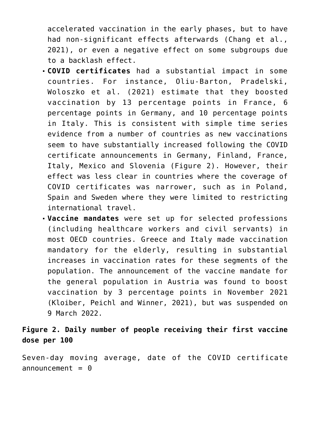accelerated vaccination in the early phases, but to have had non-significant effects afterwards (Chang et al., 2021), or even a negative effect on some subgroups due to a backlash effect.

- **COVID certificates** had a substantial impact in some countries. For instance, Oliu-Barton, Pradelski, Woloszko et al. (2021) estimate that they boosted vaccination by 13 percentage points in France, 6 percentage points in Germany, and 10 percentage points in Italy. This is consistent with simple time series evidence from a number of countries as new vaccinations seem to have substantially increased following the COVID certificate announcements in Germany, Finland, France, Italy, Mexico and Slovenia (Figure 2). However, their effect was less clear in countries where the coverage of COVID certificates was narrower, such as in Poland, Spain and Sweden where they were limited to restricting international travel.
- **Vaccine mandates** were set up for selected professions (including healthcare workers and civil servants) in most OECD countries. Greece and Italy made vaccination mandatory for the elderly, resulting in substantial increases in vaccination rates for these segments of the population. The announcement of the vaccine mandate for the general population in Austria was found to boost vaccination by 3 percentage points in November 2021 (Kloiber, Peichl and Winner, 2021), but was suspended on 9 March 2022.

## **Figure 2. Daily number of people receiving their first vaccine dose per 100**

Seven-day moving average, date of the COVID certificate  $announcement =  $0$$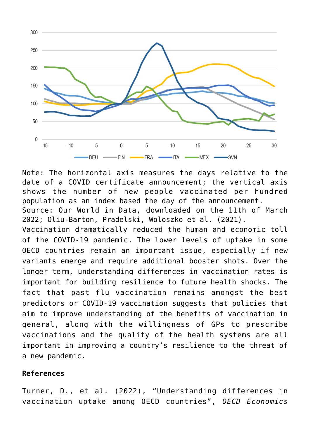

Note: The horizontal axis measures the days relative to the date of a COVID certificate announcement; the vertical axis shows the number of new people vaccinated per hundred population as an index based the day of the announcement. Source: Our World in Data, downloaded on the 11th of March 2022; Oliu-Barton, Pradelski, Woloszko et al. (2021). Vaccination dramatically reduced the human and economic toll of the COVID-19 pandemic. The lower levels of uptake in some OECD countries remain an important issue, especially if new variants emerge and require additional booster shots. Over the longer term, understanding differences in vaccination rates is important for building resilience to future health shocks. The fact that past flu vaccination remains amongst the best predictors or COVID-19 vaccination suggests that policies that aim to improve understanding of the benefits of vaccination in general, along with the willingness of GPs to prescribe vaccinations and the quality of the health systems are all important in improving a country's resilience to the threat of a new pandemic.

## **References**

Turner, D., et al. (2022), "Understanding differences in vaccination uptake among OECD countries", *OECD Economics*